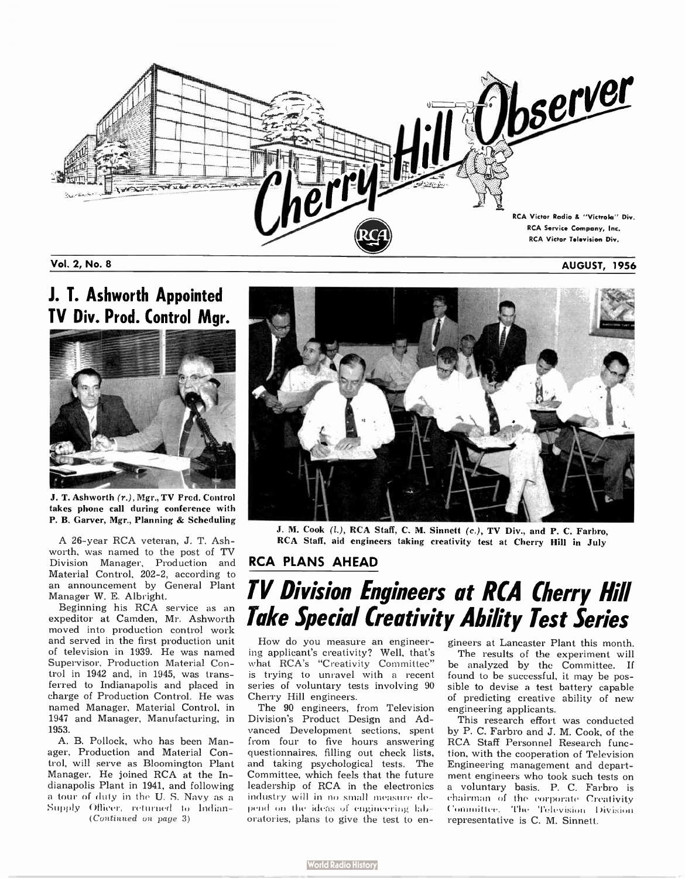

#### Vol. 2, No. 8 AUGUST, 1 956

# J. T. Ashworth Appointed



J. T. Ashworth (r.), Mgr., TV Prod. Control takes phone call during conference with P. B. Garver, Mgr., Planning & Scheduling

A 26- year RCA veteran, J. T. Ashworth, was named to the post of TV Division Manager, Production and Material Control, 202-2, according to an announcement by General Plant Manager W. E. Albright.

Beginning his RCA service as an expeditor at Camden, Mr. Ashworth moved into production control work and served in the first production unit of television in 1939. He was named Supervisor, Production Material Control in 1942 and, in 1945, was transferred to Indianapolis and placed in charge of Production Control. He was named Manager, Material Control, in 1947 and Manager, Manufacturing, in 1953.

A. B. Pollock, who has been Manager, Production and Material Control, will serve as Bloomington Plant Manager. He joined RCA at the Indianapolis Plant in 1941, and following a tour of duty in the U. S. Navy as a Supply Officer, returned to Indian-

(Continued on page 3)



J. M. Cook (l.), RCA Staff, C. M. Sinnett (c.), TV Div., and P. C. Farbro. RCA Staff, aid engineers taking creativity test at Cherry Hill in July

#### RCA PLANS AHEAD

# TV Division Engineers at RCA Cherry Hill Take Special Creativity Ability Test Series

How do you measure an engineering applicant's creativity? Well, that's what RCA's "Creativity Committee" is trying to unravel with a recent series of voluntary tests involving 90 Cherry Hill engineers.

The 90 engineers, from Television Division's Product Design and Advanced Development sections, spent from four to five hours answering questionnaires, filling out check lists, and taking psychological tests. The Committee, which feels that the future leadership of RCA in the electronics industry will in no small measure depend on the ideas or engineering laboratories, plans to give the test to engineers at Lancaster Plant this month. The results of the experiment will be analyzed by the Committee. If found to be successful, it may be possible to devise a test battery capable of predicting creative ability of new engineering applicants.

This research effort was conducted by P. C. Farbro and J. M. Cook, of the RCA Staff Personnel Research function, with the cooperation of Television Engineering management and department engineers who took such tests on a voluntary basis. P. C. Farbro is chairman of the corporate Creativity Committee, The Television Division representative is C. M. Sinnett.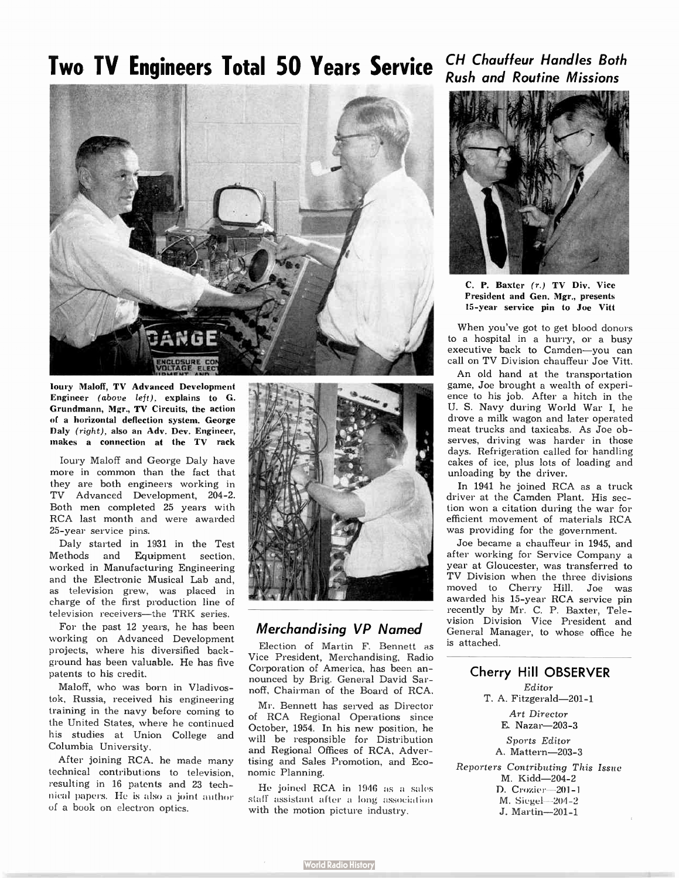# Two TV Engineers Total 50 Years Service CH Chauffeur Handles Both



bury Maloff, TV Advanced Development Engineer (above left), explains to G. Grundmann, Mgr., TV Circuits, the action of a horizontal deflection system. George Daly (right), also an Adv. Dev. Engineer, makes a connection at the TV rack

bury Maloff and George Daly have more in common than the fact that they are both engineers working in TV Advanced Development, 204-2. Both men completed 25 years with RCA last month and were awarded 25- year service pins.

Daly started in 1931 in the Test Methods and Equipment section, worked in Manufacturing Engineering and the Electronic Musical Lab and, as television grew, was placed in charge of the first production line of television receivers—the TRK series.

For the past 12 years, he has been working on Advanced Development projects, where his diversified background has been valuable. He has five patents to his credit.

Maloff, who was born in Vladivostok, Russia, received his engineering training in the navy before coming to the United States, where he continued his studies at Union College and Columbia University.

After joining RCA, he made many technical contributions to television, resulting in 16 patents and 23 technical papers. He is also a joint author of a book on electron optics.



## Merchandising VP Named

Election of Martin F. Bennett as Vice President, Merchandising, Radio Corporation of America, has been announced by Brig. General David Sarnoff, Chairman of the Board of RCA.

Mr. Bennett has served as Director of RCA Regional Operations since October, 1954. In his new position, he will be responsible for Distribution and Regional Offices of RCA, Advertising and Sales Promotion, and Economic Planning.

He joined RCA in 1946 as a sales staff assistant after a long association with the motion picture industry.

# Rush and Routine Missions



C. P. Baxter (r.) TV Div. Vice President and Gen. Mgr., presents 15- year service pin to Joe Vitt

When you've got to get blood donors to a hospital in a hurry, or a busy executive back to Camden—you can call on TV Division chauffeur Joe Vitt.

An old hand at the transportation game, Joe brought a wealth of experience to his job. After a hitch in the U. S. Navy during World War I, he drove a milk wagon and later operated meat trucks and taxicabs. As Joe observes, driving was harder in those days. Refrigeration called for handling cakes of ice, plus lots of loading and unloading by the driver.

In 1941 he joined RCA as a truck driver at the Camden Plant. His section won a citation during the war for efficient movement of materials RCA was providing for the government.

Joe became a chauffeur in 1945, and after working for Service Company a year at Gloucester, was transferred to TV Division when the three divisions moved to Cherry Hill. Joe was awarded his 15-year RCA service pin recently by Mr. C. P. Baxter, Television Division Vice President and General Manager, to whose office he is attached.

### Cherry Hill OBSERVER

Editor T. A. Fitzgerald-201-1 Art Director E. Nazar-203-3 Sports Editor

A. Mattern-203-3

Reporters Contributing This Issue M. Kidd-204-2 D. Crozier-201-1 M. Siegel-204-2 J. Martin-201-1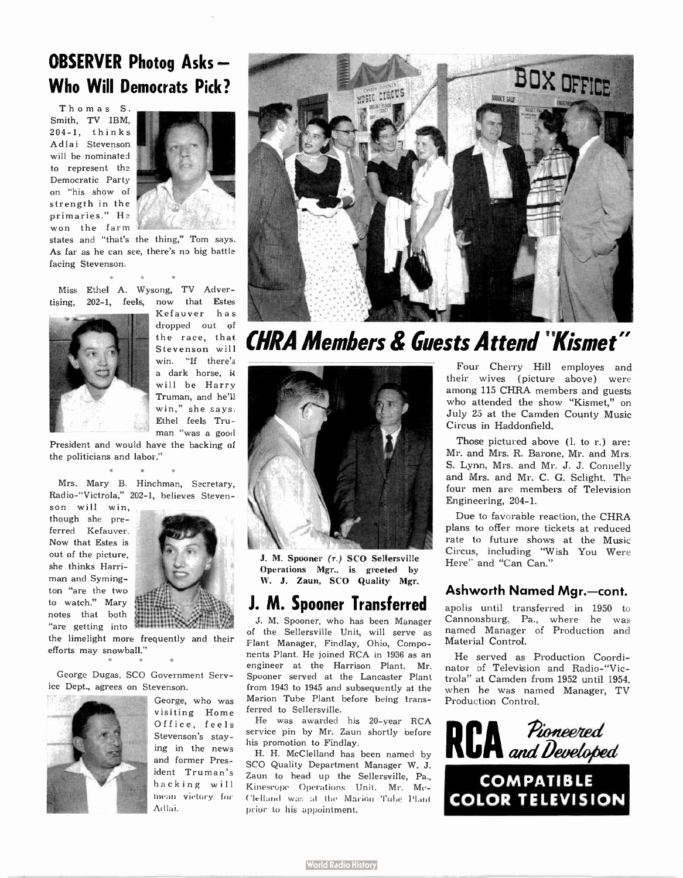## OBSERVER Photog Asks — Who Will Democrats Pick?

Thomas S. Smith, TV IBM, 2 0 4-1, thinks Adlai Stevenson will be nominated to represent the Democratic Party on "his show of strength in the primaries." He won the farm



states and "that's the thing," Tom says. As far as he can see, there's no big battle facing Stevenson.

**SR** Miss Ethel A. Wysong, TV Advertising, 202-1, feels, now that Estes



 $\sim$ 

 $\alpha$ 

Kefauver has dropped out of the race, that Stevenson will win. "If there's a dark horse, it will be Harry Truman, and he'll win," she says. Ethel feels Truman "was a good

President and would have the backing of the politicians and labor."  $\sim$ 

Mrs. Mary B. Hinchman, Secretary, Radio-"Victrola," 202-1, believes Steven-

son will win, though she preferred Kefauver. Now that Estes is out of the picture, she thinks Harriman and Symington "are the two to watch." Mary notes that both "are getting into



the limelight more frequently and their efforts may snowball."

George Dugas, SCO Government Service Dept., agrees on Stevenson.



George, who was visiting Home Office, feels Stevenson's staying in the news and former President Truman's backing will mean victory for Acllai.



# CHRA Members & Guests Attend "Kismet"



J. M. Spooner (r.) SCO Sellersville Operations Mgr., is greeted by W. J. Zaun, SCO Quality Mgr.

## J. M. Spooner Transferred

J. M. Spooner, who has been Manager of the Sellersville Unit, will serve as Plant Manager, Findlay, Ohio, Components Plant. He joined RCA in 1936 as an engineer at the Harrison Plant. Mr. Spooner served at the Lancaster Plant from 1943 to 1945 and subsequently at the Marion Tube Plant before being transferred to Sellersville.

He was awarded his 20-year RCA service pin by Mr. Zaun shortly before his promotion to Findlay.

H. H. McClelland has been named by SCO Quality Department Manager W. J. Zaun to head up the Sellersville, Pa., Kinescope Operations Unit. Mr. Mc-Clelland was at the Marion Tube Plant prior to his appointment.

Four Cherry Hill employes and their wives ( picture above) were among 115 CHRA members and guests who attended the show "Kismet," on July 25 at the Camden County Music Circus in Haddonfield.

Those pictured above (l. to r.) are: Mr. and Mrs. R. Barone, Mr. and Mrs. S. Lynn, Mrs. and Mr. J. J. Connelly and Mrs. and Mr. C. G. Sclight. The four men are members of Television Engineering, 204-1.

Due to favorable reaction, the CHRA plans to offer more tickets at reduced rate to future shows at the Music Circus, including "Wish You Were Here" and "Can Can."

#### Ashworth Named Mgr.—cont.

apolis until transferred in 1950 to Cannonsburg. Pa., where he was named Manager of Production and Material Control.

He served as Production Coordinator of Television and Radio-"Victrola" at Camden from 1952 until 1954, when he was named Manager, TV Production Control.